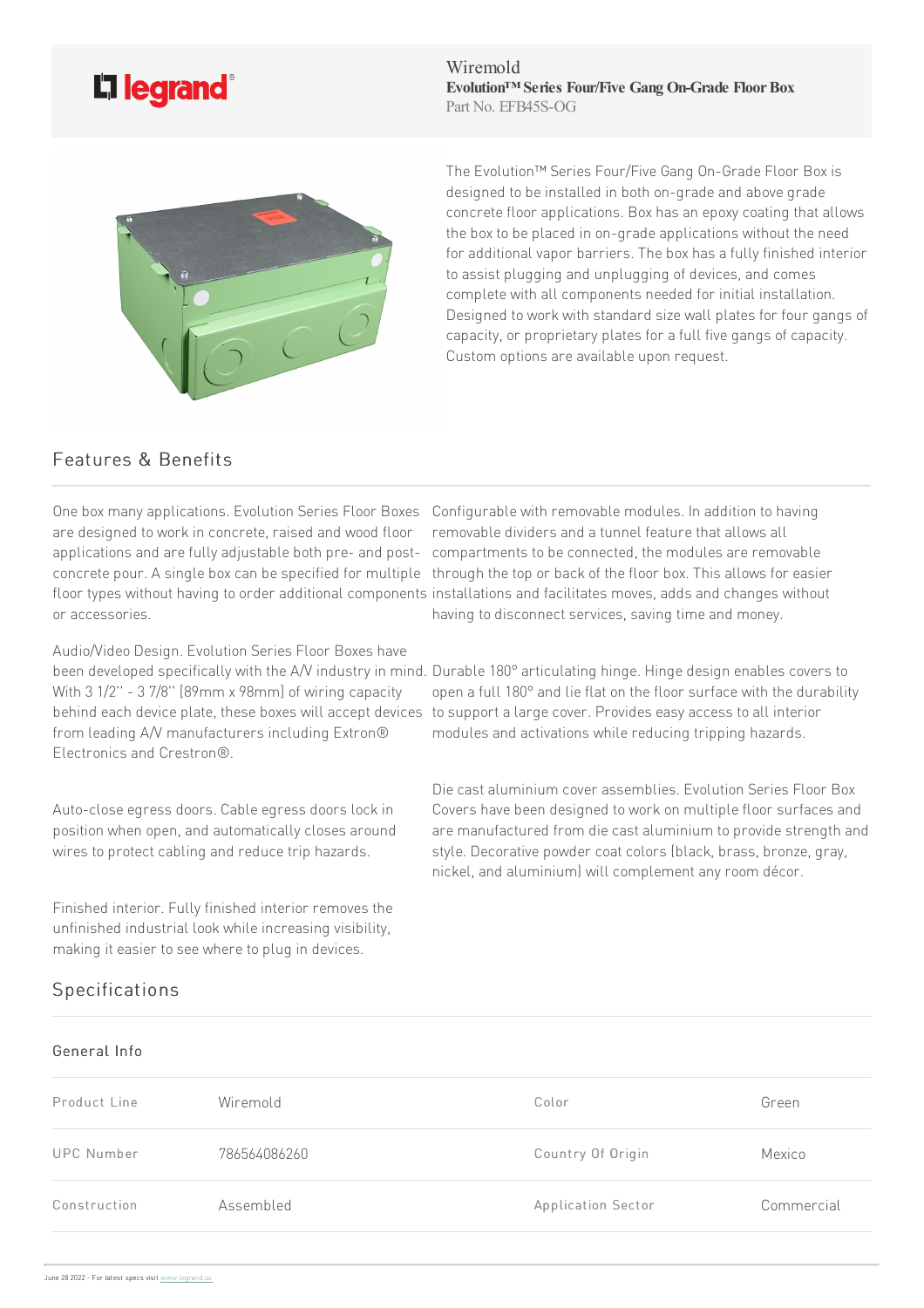

Wiremold **Evolution™ Series Four/Five Gang On-Grade FloorBox** Part No. EFB45S-OG



The Evolution™ Series Four/Five Gang On-Grade Floor Box is designed to be installed in both on-grade and above grade concrete floor applications. Box has an epoxy coating that allows the box to be placed in on-grade applications without the need for additional vapor barriers. The box has a fully finished interior to assist plugging and unplugging of devices, and comes complete with all components needed for initial installation. Designed to work with standard size wall plates for four gangs of capacity, or proprietary plates for a full five gangs of capacity. Custom options are available upon request.

## Features & Benefits

are designed to work in concrete, raised and wood floor or accessories.

Audio/Video Design. Evolution Series Floor Boxes have been developed specifically with the A/V industry in mind. Durable 180° articulating hinge. Hinge design enables covers to With 3 1/2" - 3 7/8" [89mm x 98mm] of wiring capacity from leading A/V manufacturers including Extron® Electronics and Crestron®.

Auto-close egress doors. Cable egress doors lock in position when open, and automatically closes around wires to protect cabling and reduce trip hazards.

Finished interior. Fully finished interior removes the unfinished industrial look while increasing visibility, making it easier to see where to plug in devices.

## Specifications

## General Info

One box many applications. Evolution Series Floor Boxes Configurable with removable modules. In addition to having applications and are fully adjustable both pre- and post- compartments to be connected, the modules are removable . . .<br>concrete pour. A single box can be specified for multiple through the top or back of the floor box. This allows for easier floor types without having to order additional components installations and facilitates moves, adds and changes without removable dividers and a tunnel feature that allows all having to disconnect services, saving time and money.

behind each device plate, these boxes will accept devices to support a large cover. Provides easy access to all interior open a full 180° and lie flat on the floor surface with the durability modules and activations while reducing tripping hazards.

> Die cast aluminium cover assemblies. Evolution Series Floor Box Covers have been designed to work on multiple floor surfaces and are manufactured from die cast aluminium to provide strength and style. Decorative powder coat colors (black, brass, bronze, gray, nickel, and aluminium) will complement any room décor.

| Product Line      | Wiremold     | Color                     | Green      |
|-------------------|--------------|---------------------------|------------|
| <b>UPC Number</b> | 786564086260 | Country Of Origin         | Mexico     |
| Construction      | Assembled    | <b>Application Sector</b> | Commercial |